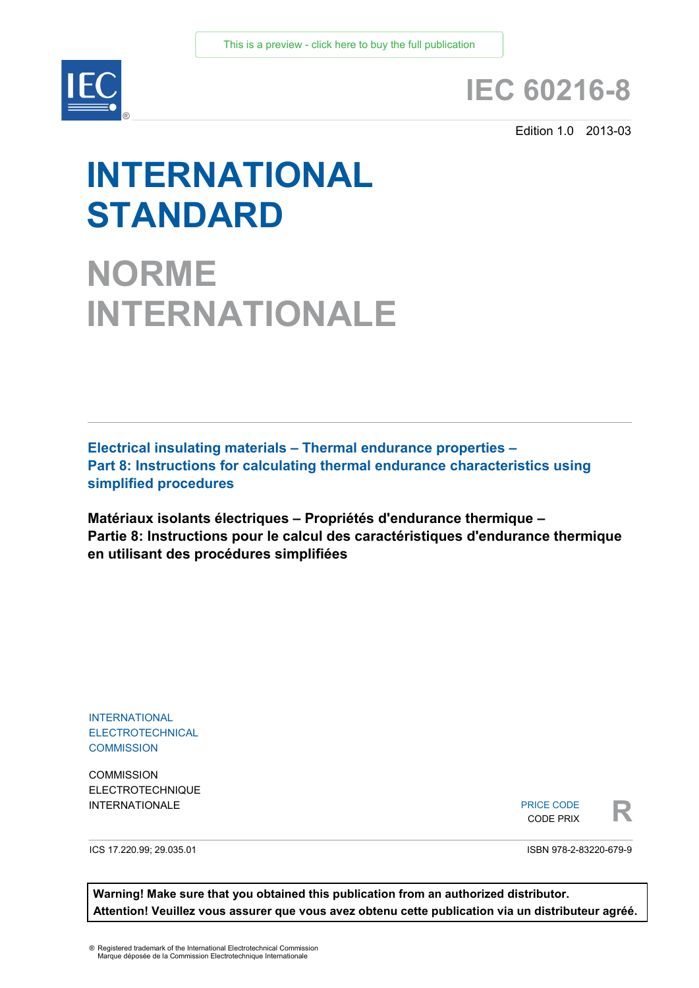

# **IEC 60216-8**

Edition 1.0 2013-03

# **INTERNATIONAL STANDARD**

**NORME INTERNATIONALE**

**Electrical insulating materials – Thermal endurance properties – Part 8: Instructions for calculating thermal endurance characteristics using simplified procedures** 

**Matériaux isolants électriques – Propriétés d'endurance thermique – Partie 8: Instructions pour le calcul des caractéristiques d'endurance thermique en utilisant des procédures simplifiées**

INTERNATIONAL **ELECTROTECHNICAL COMMISSION** 

**COMMISSION** ELECTROTECHNIQUE

INTERNATIONALE PRICE CODE PRIX PRICE CODE CODE PRIX



ICS 17.220.99; 29.035.01

ISBN 978-2-83220-679-9

**Warning! Make sure that you obtained this publication from an authorized distributor. Attention! Veuillez vous assurer que vous avez obtenu cette publication via un distributeur agréé.**

® Registered trademark of the International Electrotechnical Commission Marque déposée de la Commission Electrotechnique Internationale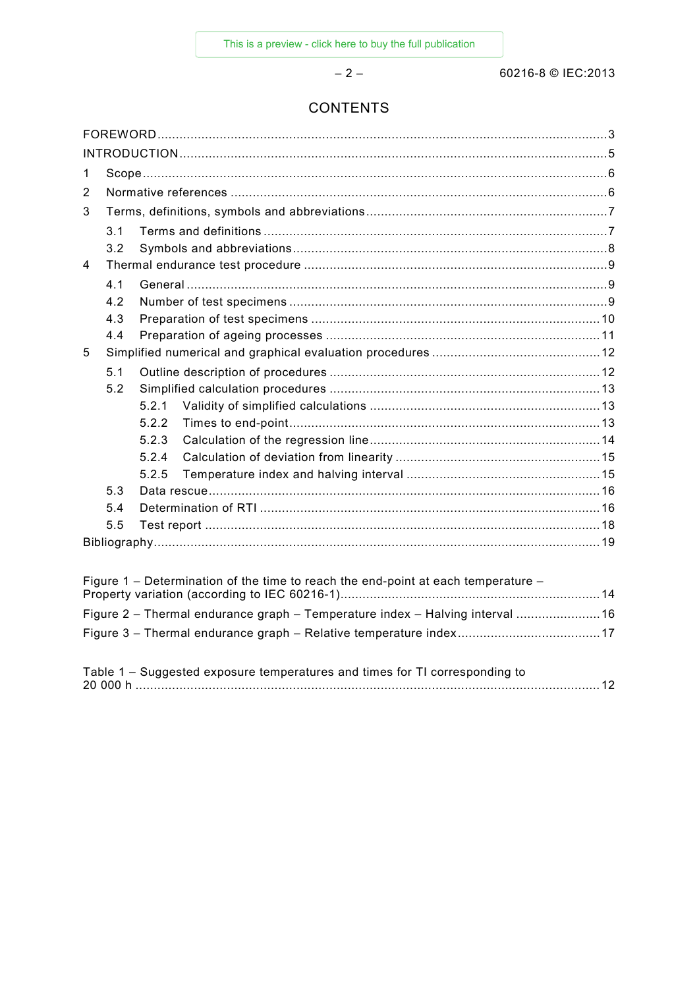$-2-$ 

# **CONTENTS**

| 1 |                |       |  |  |
|---|----------------|-------|--|--|
| 2 |                |       |  |  |
| 3 |                |       |  |  |
|   | 3 <sub>1</sub> |       |  |  |
|   | 3.2            |       |  |  |
| 4 |                |       |  |  |
|   | 4.1            |       |  |  |
|   | 4.2            |       |  |  |
|   | 4.3            |       |  |  |
|   | 4.4            |       |  |  |
| 5 |                |       |  |  |
|   | 5.1            |       |  |  |
|   | 5.2            |       |  |  |
|   |                | 5.2.1 |  |  |
|   |                | 5.2.2 |  |  |
|   |                | 5.2.3 |  |  |
|   |                | 5.2.4 |  |  |
|   |                | 5.2.5 |  |  |
|   | 5.3            |       |  |  |
|   | 5.4            |       |  |  |
|   | 5.5            |       |  |  |
|   |                |       |  |  |
|   |                |       |  |  |

| Figure 1 – Determination of the time to reach the end-point at each temperature – |  |
|-----------------------------------------------------------------------------------|--|
| Figure 2 – Thermal endurance graph – Temperature index – Halving interval  16     |  |
|                                                                                   |  |
|                                                                                   |  |

| Table 1 – Suggested exposure temperatures and times for TI corresponding to |  |
|-----------------------------------------------------------------------------|--|
|                                                                             |  |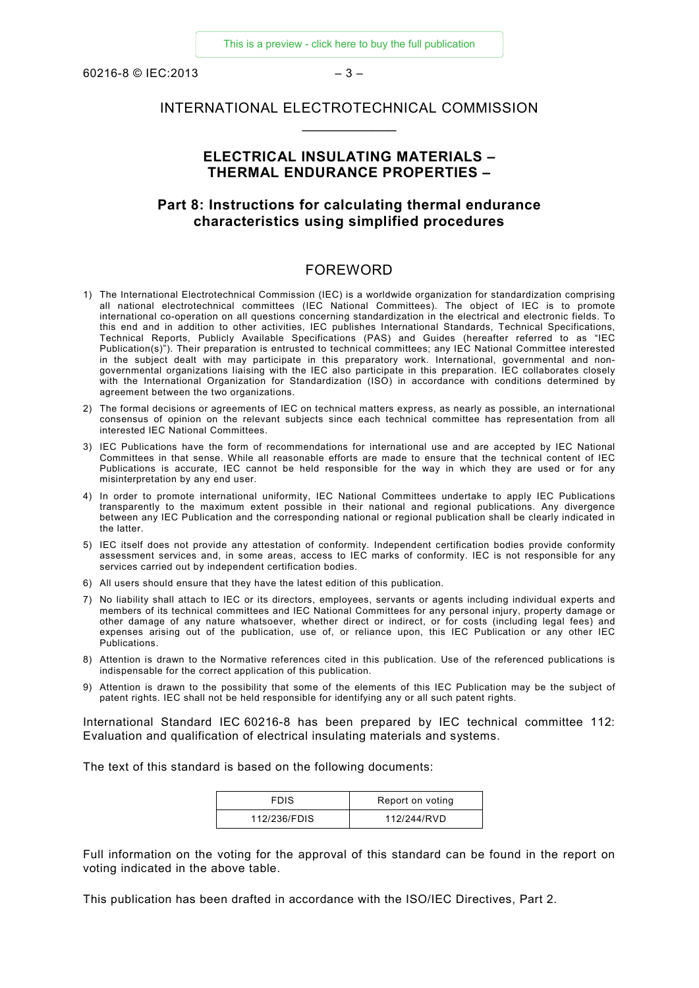$60216 - 8$  © IFC:2013 – 3 –

# INTERNATIONAL ELECTROTECHNICAL COMMISSION \_\_\_\_\_\_\_\_\_\_\_\_

## **ELECTRICAL INSULATING MATERIALS – THERMAL ENDURANCE PROPERTIES –**

# **Part 8: Instructions for calculating thermal endurance characteristics using simplified procedures**

#### FOREWORD

- 1) The International Electrotechnical Commission (IEC) is a worldwide organization for standardization comprising all national electrotechnical committees (IEC National Committees). The object of IEC is to promote international co-operation on all questions concerning standardization in the electrical and electronic fields. To this end and in addition to other activities, IEC publishes International Standards, Technical Specifications, Technical Reports, Publicly Available Specifications (PAS) and Guides (hereafter referred to as "IEC Publication(s)"). Their preparation is entrusted to technical committees; any IEC National Committee interested in the subject dealt with may participate in this preparatory work. International, governmental and nongovernmental organizations liaising with the IEC also participate in this preparation. IEC collaborates closely with the International Organization for Standardization (ISO) in accordance with conditions determined by agreement between the two organizations.
- 2) The formal decisions or agreements of IEC on technical matters express, as nearly as possible, an international consensus of opinion on the relevant subjects since each technical committee has representation from all interested IEC National Committees.
- 3) IEC Publications have the form of recommendations for international use and are accepted by IEC National Committees in that sense. While all reasonable efforts are made to ensure that the technical content of IEC Publications is accurate, IEC cannot be held responsible for the way in which they are used or for any misinterpretation by any end user.
- 4) In order to promote international uniformity, IEC National Committees undertake to apply IEC Publications transparently to the maximum extent possible in their national and regional publications. Any divergence between any IEC Publication and the corresponding national or regional publication shall be clearly indicated in the latter.
- 5) IEC itself does not provide any attestation of conformity. Independent certification bodies provide conformity assessment services and, in some areas, access to IEC marks of conformity. IEC is not responsible for any services carried out by independent certification bodies.
- 6) All users should ensure that they have the latest edition of this publication.
- 7) No liability shall attach to IEC or its directors, employees, servants or agents including individual experts and members of its technical committees and IEC National Committees for any personal injury, property damage or other damage of any nature whatsoever, whether direct or indirect, or for costs (including legal fees) and expenses arising out of the publication, use of, or reliance upon, this IEC Publication or any other IEC Publications.
- 8) Attention is drawn to the Normative references cited in this publication. Use of the referenced publications is indispensable for the correct application of this publication.
- 9) Attention is drawn to the possibility that some of the elements of this IEC Publication may be the subject of patent rights. IEC shall not be held responsible for identifying any or all such patent rights.

International Standard IEC 60216-8 has been prepared by IEC technical committee 112: Evaluation and qualification of electrical insulating materials and systems.

The text of this standard is based on the following documents:

| <b>FDIS</b>  | Report on voting |
|--------------|------------------|
| 112/236/FDIS | 112/244/RVD      |

Full information on the voting for the approval of this standard can be found in the report on voting indicated in the above table.

This publication has been drafted in accordance with the ISO/IEC Directives, Part 2.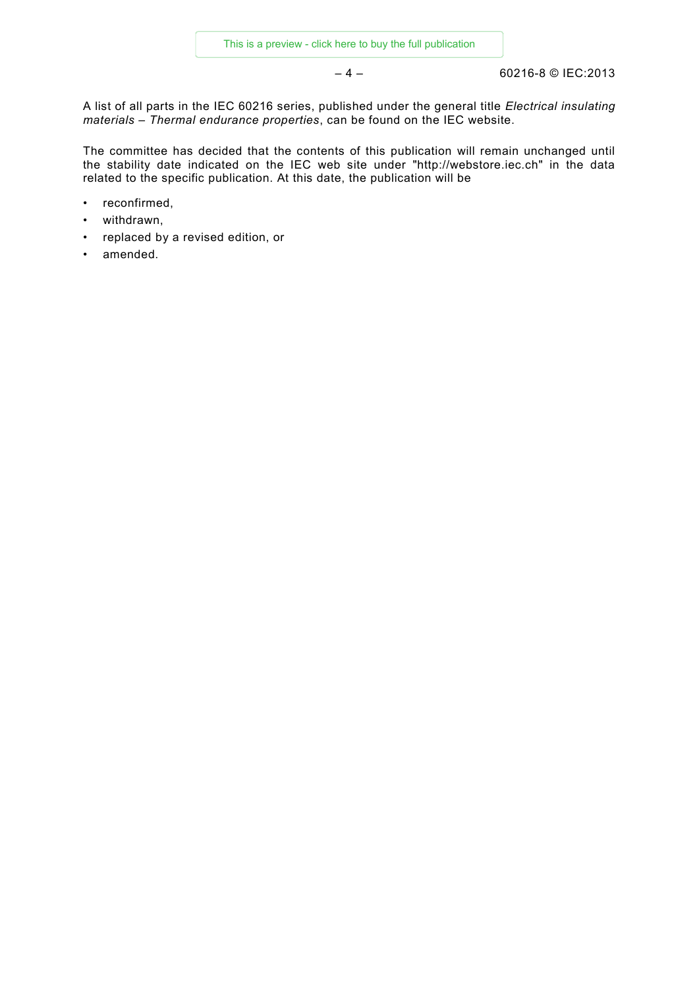– 4 – 60216-8 © IEC:2013

A list of all parts in the IEC 60216 series, published under the general title *Electrical insulating materials – Thermal endurance properties*, can be found on the IEC website.

The committee has decided that the contents of this publication will remain unchanged until the stability date indicated on the IEC web site under "http://webstore.iec.ch" in the data related to the specific publication. At this date, the publication will be

- reconfirmed,
- withdrawn,
- replaced by a revised edition, or
- amended.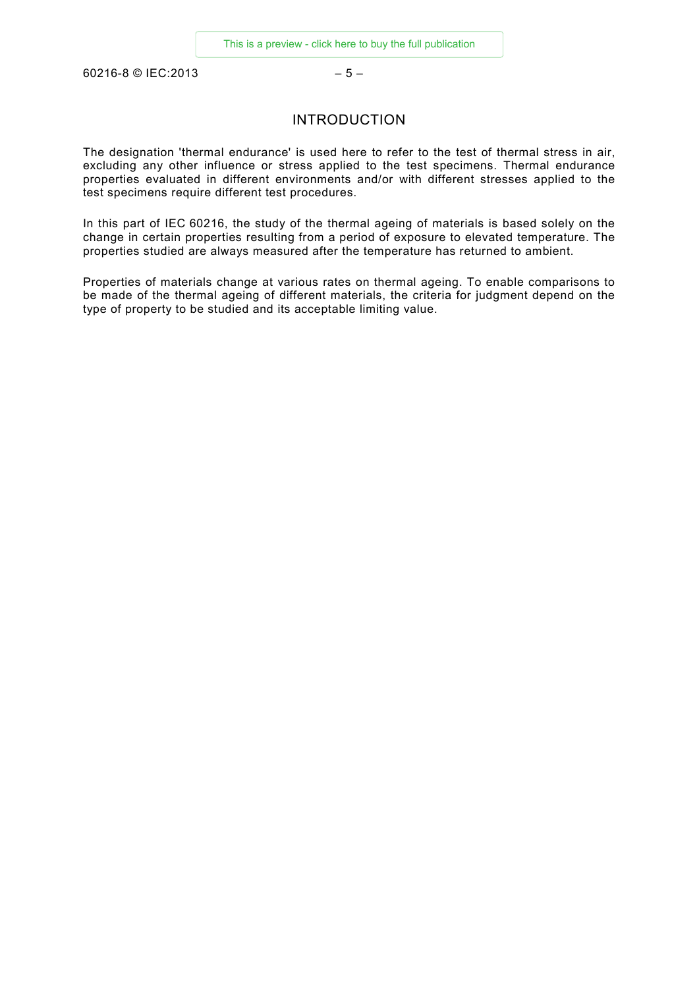$60216 - 8$  © IEC:2013 – 5 –

#### INTRODUCTION

The designation 'thermal endurance' is used here to refer to the test of thermal stress in air, excluding any other influence or stress applied to the test specimens. Thermal endurance properties evaluated in different environments and/or with different stresses applied to the test specimens require different test procedures.

In this part of IEC 60216, the study of the thermal ageing of materials is based solely on the change in certain properties resulting from a period of exposure to elevated temperature. The properties studied are always measured after the temperature has returned to ambient.

Properties of materials change at various rates on thermal ageing. To enable comparisons to be made of the thermal ageing of different materials, the criteria for judgment depend on the type of property to be studied and its acceptable limiting value.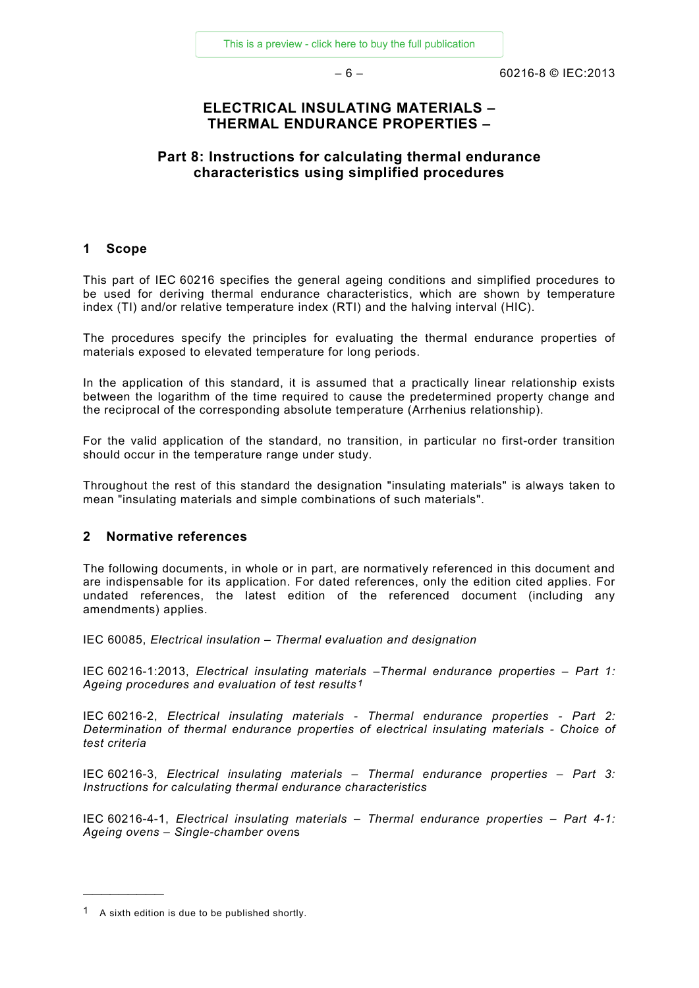$-6 - 6$  60216-8 © IEC:2013

# **ELECTRICAL INSULATING MATERIALS – THERMAL ENDURANCE PROPERTIES –**

# **Part 8: Instructions for calculating thermal endurance characteristics using simplified procedures**

#### **1 Scope**

This part of IEC 60216 specifies the general ageing conditions and simplified procedures to be used for deriving thermal endurance characteristics, which are shown by temperature index (TI) and/or relative temperature index (RTI) and the halving interval (HIC).

The procedures specify the principles for evaluating the thermal endurance properties of materials exposed to elevated temperature for long periods.

In the application of this standard, it is assumed that a practically linear relationship exists between the logarithm of the time required to cause the predetermined property change and the reciprocal of the corresponding absolute temperature (Arrhenius relationship).

For the valid application of the standard, no transition, in particular no first-order transition should occur in the temperature range under study.

Throughout the rest of this standard the designation "insulating materials" is always taken to mean "insulating materials and simple combinations of such materials".

# **2 Normative references**

The following documents, in whole or in part, are normatively referenced in this document and are indispensable for its application. For dated references, only the edition cited applies. For undated references, the latest edition of the referenced document (including any amendments) applies.

IEC 60085, *Electrical insulation – Thermal evaluation and designation*

IEC 60216-1:2013, *Electrical insulating materials –Thermal endurance properties – Part 1: Ageing procedures and evaluation of test results [1](#page-5-0)*

IEC 60216-2, *Electrical insulating materials - Thermal endurance properties - Part 2: Determination of thermal endurance properties of electrical insulating materials - Choice of test criteria*

IEC 60216-3, *Electrical insulating materials – Thermal endurance properties – Part 3: Instructions for calculating thermal endurance characteristics*

IEC 60216-4-1, *Electrical insulating materials – Thermal endurance properties – Part 4-1: Ageing ovens – Single-chamber oven*s

—————————

<span id="page-5-0"></span><sup>1</sup> A sixth edition is due to be published shortly.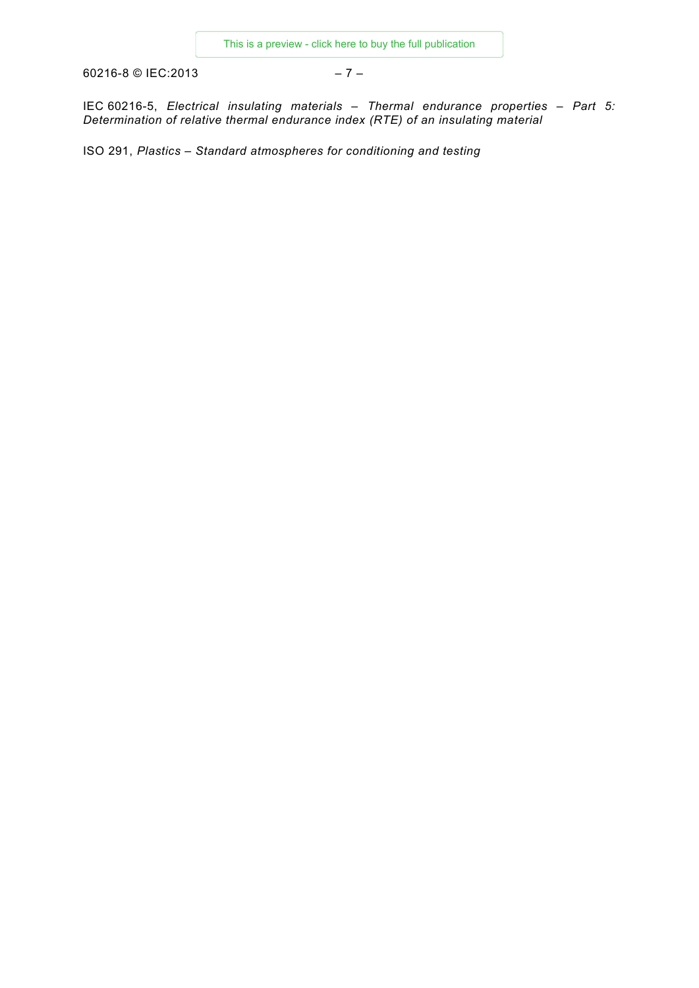60216-8 © IEC:2013 – 7 –

IEC 60216-5, *Electrical insulating materials – Thermal endurance properties – Part 5: Determination of relative thermal endurance index (RTE) of an insulating material*

<span id="page-6-0"></span>ISO 291, *Plastics – Standard atmospheres for conditioning and testing*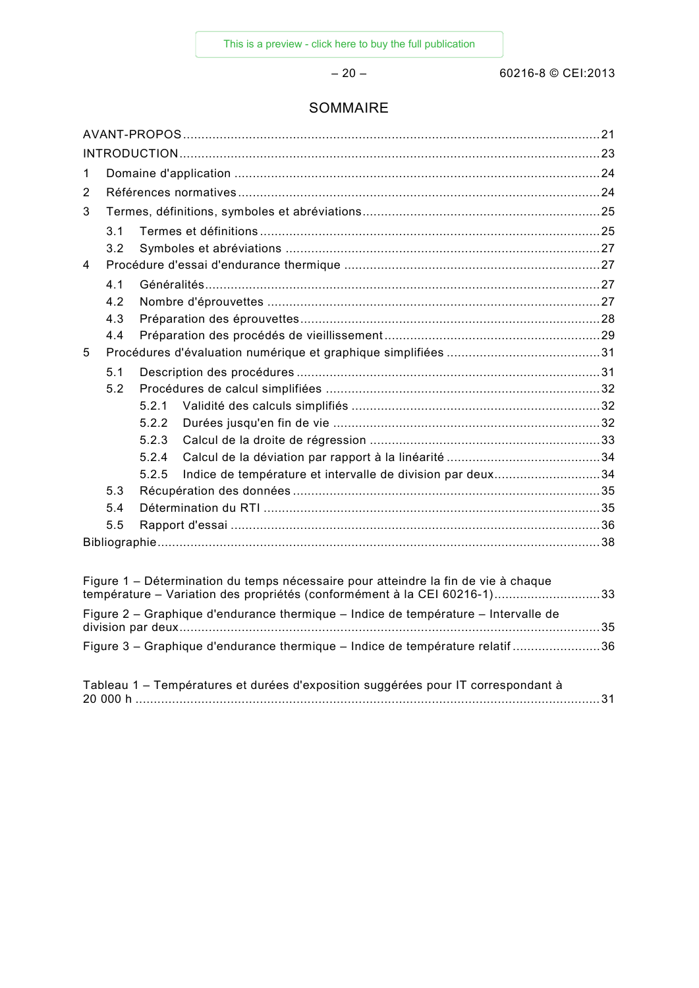– 20 – 60216-8 © CEI:2013

# SOMMAIRE

| 1 |     |       |                                                            |  |
|---|-----|-------|------------------------------------------------------------|--|
| 2 |     |       |                                                            |  |
| 3 |     |       |                                                            |  |
|   | 3.1 |       |                                                            |  |
|   | 3.2 |       |                                                            |  |
| 4 |     |       |                                                            |  |
|   | 4.1 |       |                                                            |  |
|   | 4.2 |       |                                                            |  |
|   | 4.3 |       |                                                            |  |
|   | 4.4 |       |                                                            |  |
| 5 |     |       |                                                            |  |
|   | 5.1 |       |                                                            |  |
|   | 5.2 |       |                                                            |  |
|   |     | 5.2.1 |                                                            |  |
|   |     | 5.2.2 |                                                            |  |
|   |     | 5.2.3 |                                                            |  |
|   |     | 5.2.4 |                                                            |  |
|   |     | 5.2.5 | Indice de température et intervalle de division par deux34 |  |
|   | 5.3 |       |                                                            |  |
|   | 5.4 |       |                                                            |  |
|   | 5.5 |       |                                                            |  |
|   |     |       |                                                            |  |

| Figure 1 – Détermination du temps nécessaire pour atteindre la fin de vie à chaque<br>température – Variation des propriétés (conformément à la CEI 60216-1)33 |  |
|----------------------------------------------------------------------------------------------------------------------------------------------------------------|--|
| Figure 2 – Graphique d'endurance thermique – Indice de température – Intervalle de                                                                             |  |
| Figure 3 – Graphique d'endurance thermique – Indice de température relatif 36                                                                                  |  |

| Tableau 1 - Températures et durées d'exposition suggérées pour IT correspondant à |  |
|-----------------------------------------------------------------------------------|--|
|                                                                                   |  |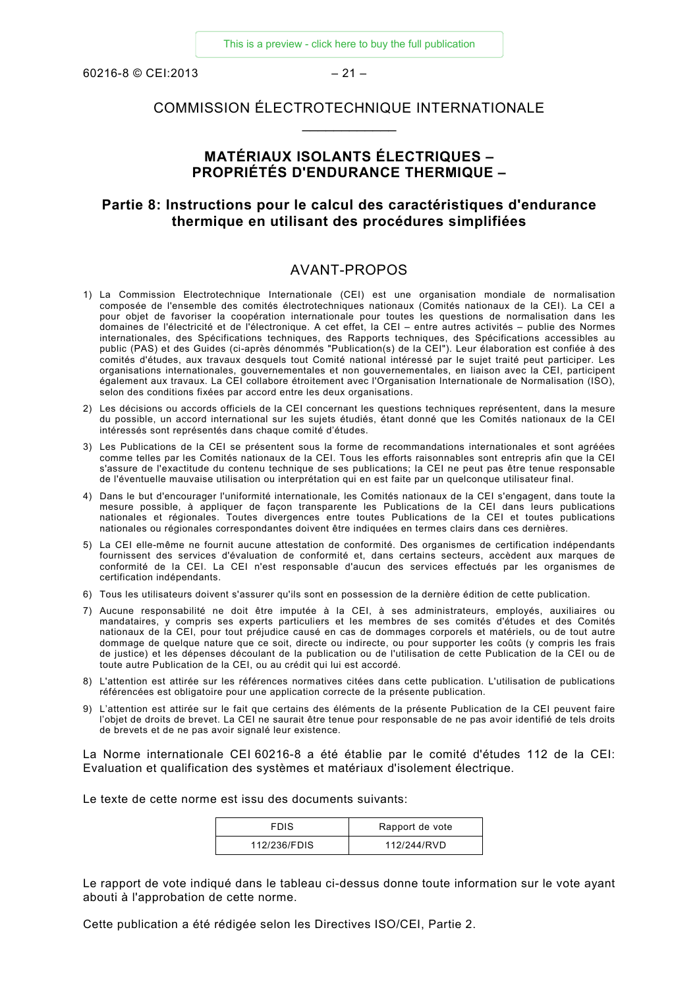60216-8 © CEI:2013 – 21 –

# COMMISSION ÉLECTROTECHNIQUE INTERNATIONALE \_\_\_\_\_\_\_\_\_\_\_\_

# **MATÉRIAUX ISOLANTS ÉLECTRIQUES – PROPRIÉTÉS D'ENDURANCE THERMIQUE –**

# **Partie 8: Instructions pour le calcul des caractéristiques d'endurance thermique en utilisant des procédures simplifiées**

#### AVANT-PROPOS

- 1) La Commission Electrotechnique Internationale (CEI) est une organisation mondiale de normalisation composée de l'ensemble des comités électrotechniques nationaux (Comités nationaux de la CEI). La CEI a pour objet de favoriser la coopération internationale pour toutes les questions de normalisation dans les domaines de l'électricité et de l'électronique. A cet effet, la CEI – entre autres activités – publie des Normes internationales, des Spécifications techniques, des Rapports techniques, des Spécifications accessibles au public (PAS) et des Guides (ci-après dénommés "Publication(s) de la CEI"). Leur élaboration est confiée à des comités d'études, aux travaux desquels tout Comité national intéressé par le sujet traité peut participer. Les organisations internationales, gouvernementales et non gouvernementales, en liaison avec la CEI, participent également aux travaux. La CEI collabore étroitement avec l'Organisation Internationale de Normalisation (ISO), selon des conditions fixées par accord entre les deux organisations.
- 2) Les décisions ou accords officiels de la CEI concernant les questions techniques représentent, dans la mesure du possible, un accord international sur les sujets étudiés, étant donné que les Comités nationaux de la CEI intéressés sont représentés dans chaque comité d'études.
- 3) Les Publications de la CEI se présentent sous la forme de recommandations internationales et sont agréées comme telles par les Comités nationaux de la CEI. Tous les efforts raisonnables sont entrepris afin que la CEI s'assure de l'exactitude du contenu technique de ses publications; la CEI ne peut pas être tenue responsable de l'éventuelle mauvaise utilisation ou interprétation qui en est faite par un quelconque utilisateur final.
- 4) Dans le but d'encourager l'uniformité internationale, les Comités nationaux de la CEI s'engagent, dans toute la mesure possible, à appliquer de façon transparente les Publications de la CEI dans leurs publications nationales et régionales. Toutes divergences entre toutes Publications de la CEI et toutes publications nationales ou régionales correspondantes doivent être indiquées en termes clairs dans ces dernières.
- 5) La CEI elle-même ne fournit aucune attestation de conformité. Des organismes de certification indépendants fournissent des services d'évaluation de conformité et, dans certains secteurs, accèdent aux marques de conformité de la CEI. La CEI n'est responsable d'aucun des services effectués par les organismes de certification indépendants.
- 6) Tous les utilisateurs doivent s'assurer qu'ils sont en possession de la dernière édition de cette publication.
- 7) Aucune responsabilité ne doit être imputée à la CEI, à ses administrateurs, employés, auxiliaires ou mandataires, y compris ses experts particuliers et les membres de ses comités d'études et des Comités nationaux de la CEI, pour tout préjudice causé en cas de dommages corporels et matériels, ou de tout autre dommage de quelque nature que ce soit, directe ou indirecte, ou pour supporter les coûts (y compris les frais de justice) et les dépenses découlant de la publication ou de l'utilisation de cette Publication de la CEI ou de toute autre Publication de la CEI, ou au crédit qui lui est accordé.
- 8) L'attention est attirée sur les références normatives citées dans cette publication. L'utilisation de publications référencées est obligatoire pour une application correcte de la présente publication.
- 9) L'attention est attirée sur le fait que certains des éléments de la présente Publication de la CEI peuvent faire l'objet de droits de brevet. La CEI ne saurait être tenue pour responsable de ne pas avoir identifié de tels droits de brevets et de ne pas avoir signalé leur existence.

La Norme internationale CEI 60216-8 a été établie par le comité d'études 112 de la CEI: Evaluation et qualification des systèmes et matériaux d'isolement électrique.

Le texte de cette norme est issu des documents suivants:

| <b>FDIS</b>  | Rapport de vote |
|--------------|-----------------|
| 112/236/FDIS | 112/244/RVD     |

Le rapport de vote indiqué dans le tableau ci-dessus donne toute information sur le vote ayant abouti à l'approbation de cette norme.

Cette publication a été rédigée selon les Directives ISO/CEI, Partie 2.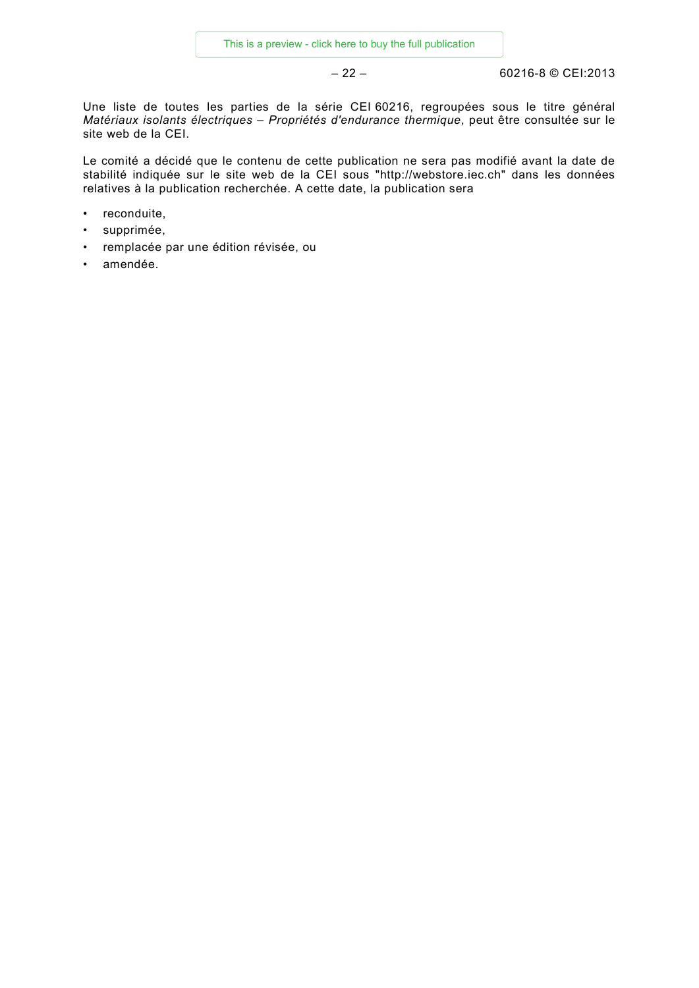– 22 – 60216-8 © CEI:2013

Une liste de toutes les parties de la série CEI 60216, regroupées sous le titre général *Matériaux isolants électriques – Propriétés d'endurance thermique*, peut être consultée sur le site web de la CEI.

Le comité a décidé que le contenu de cette publication ne sera pas modifié avant la date de stabilité indiquée sur le site web de la CEI sous "http://webstore.iec.ch" dans les données relatives à la publication recherchée. A cette date, la publication sera

- reconduite,
- supprimée,
- remplacée par une édition révisée, ou
- amendée.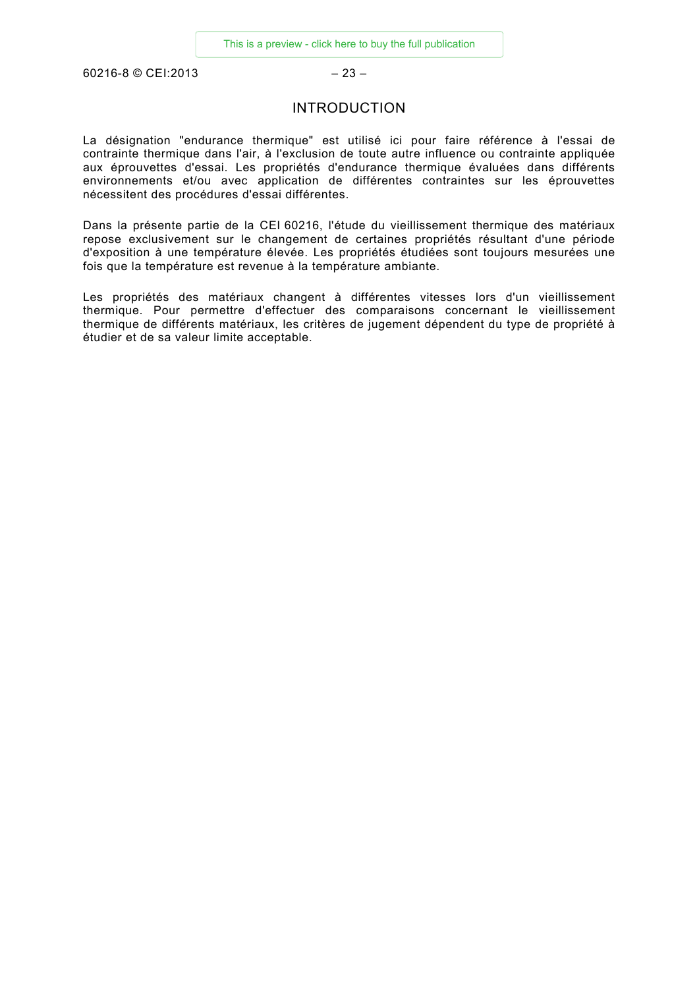60216-8 © CEI:2013 – 23 –

#### INTRODUCTION

La désignation "endurance thermique" est utilisé ici pour faire référence à l'essai de contrainte thermique dans l'air, à l'exclusion de toute autre influence ou contrainte appliquée aux éprouvettes d'essai. Les propriétés d'endurance thermique évaluées dans différents environnements et/ou avec application de différentes contraintes sur les éprouvettes nécessitent des procédures d'essai différentes.

Dans la présente partie de la CEI 60216, l'étude du vieillissement thermique des matériaux repose exclusivement sur le changement de certaines propriétés résultant d'une période d'exposition à une température élevée. Les propriétés étudiées sont toujours mesurées une fois que la température est revenue à la température ambiante.

Les propriétés des matériaux changent à différentes vitesses lors d'un vieillissement thermique. Pour permettre d'effectuer des comparaisons concernant le vieillissement thermique de différents matériaux, les critères de jugement dépendent du type de propriété à étudier et de sa valeur limite acceptable.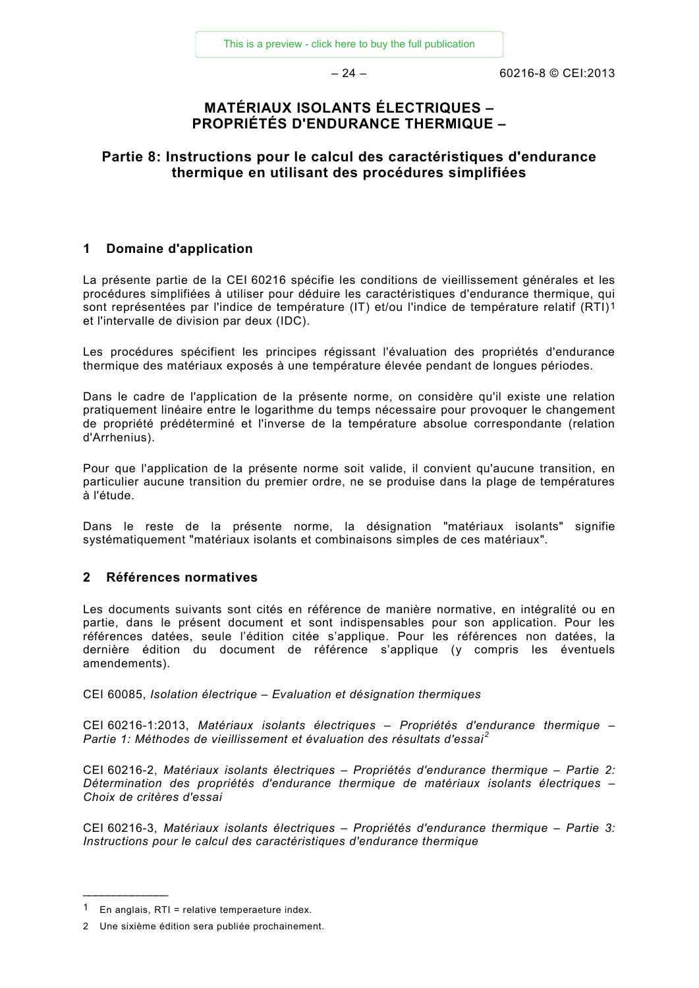$-24 - 60216-8$  © CEI:2013

# **MATÉRIAUX ISOLANTS ÉLECTRIQUES – PROPRIÉTÉS D'ENDURANCE THERMIQUE –**

# **Partie 8: Instructions pour le calcul des caractéristiques d'endurance thermique en utilisant des procédures simplifiées**

# **1 Domaine d'application**

La présente partie de la CEI 60216 spécifie les conditions de vieillissement générales et les procédures simplifiées à utiliser pour déduire les caractéristiques d'endurance thermique, qui sont représentées par l'indice de température (IT) et/ou l'indice de température relatif (RTI)<sup>[1](#page-11-0)</sup> et l'intervalle de division par deux (IDC).

Les procédures spécifient les principes régissant l'évaluation des propriétés d'endurance thermique des matériaux exposés à une température élevée pendant de longues périodes.

Dans le cadre de l'application de la présente norme, on considère qu'il existe une relation pratiquement linéaire entre le logarithme du temps nécessaire pour provoquer le changement de propriété prédéterminé et l'inverse de la température absolue correspondante (relation d'Arrhenius).

Pour que l'application de la présente norme soit valide, il convient qu'aucune transition, en particulier aucune transition du premier ordre, ne se produise dans la plage de températures à l'étude.

Dans le reste de la présente norme, la désignation "matériaux isolants" signifie systématiquement "matériaux isolants et combinaisons simples de ces matériaux".

# **2 Références normatives**

Les documents suivants sont cités en référence de manière normative, en intégralité ou en partie, dans le présent document et sont indispensables pour son application. Pour les références datées, seule l'édition citée s'applique. Pour les références non datées, la dernière édition du document de référence s'applique (y compris les éventuels amendements).

CEI 60085, *Isolation électrique – Evaluation et désignation thermiques*

CEI 60216-1:2013, *Matériaux isolants électriques – Propriétés d'endurance thermique – Partie 1: Méthodes de vieillissement et évaluation des résultats d'essai [2](#page-11-1)*

CEI 60216-2, *Matériaux isolants électriques – Propriétés d'endurance thermique – Partie 2: Détermination des propriétés d'endurance thermique de matériaux isolants électriques – Choix de critères d'essai*

CEI 60216-3, *Matériaux isolants électriques – Propriétés d'endurance thermique – Partie 3: Instructions pour le calcul des caractéristiques d'endurance thermique*

\_\_\_\_\_\_\_\_\_\_\_\_\_\_

<span id="page-11-0"></span><sup>1</sup> En anglais, RTI = relative temperaeture index.

<span id="page-11-1"></span><sup>2</sup> Une sixième édition sera publiée prochainement.